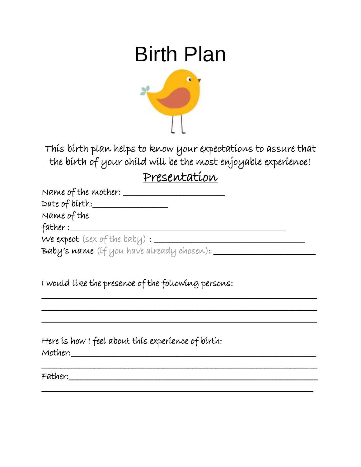# Birth Plan



This birth plan helps to know your expectations to assure that the birth of your child will be the most enjoyable experience!

#### Presentation

| Name of the mother:                                                       |  |
|---------------------------------------------------------------------------|--|
| Date of birth:                                                            |  |
| Name of the                                                               |  |
| father $:=$                                                               |  |
| We expect (sex of the baby) $:=$                                          |  |
| $\mathbf B$ aby's name (if you have already chosen): $\rule{1em}{0.15mm}$ |  |

\_\_\_\_\_\_\_\_\_\_\_\_\_\_\_\_\_\_\_\_\_\_\_\_\_\_\_\_\_\_\_\_\_\_\_\_\_\_\_\_\_\_\_\_\_\_\_\_\_\_\_\_\_\_\_\_\_\_\_\_\_\_\_\_\_\_\_\_\_\_\_\_\_ \_\_\_\_\_\_\_\_\_\_\_\_\_\_\_\_\_\_\_\_\_\_\_\_\_\_\_\_\_\_\_\_\_\_\_\_\_\_\_\_\_\_\_\_\_\_\_\_\_\_\_\_\_\_\_\_\_\_\_\_\_\_\_\_\_\_\_\_\_\_\_\_\_

\_\_\_\_\_\_\_\_\_\_\_\_\_\_\_\_\_\_\_\_\_\_\_\_\_\_\_\_\_\_\_\_\_\_\_\_\_\_\_\_\_\_\_\_\_\_\_\_\_\_\_\_\_\_\_\_\_\_\_\_\_\_\_\_\_\_\_\_\_\_\_\_\_

\_\_\_\_\_\_\_\_\_\_\_\_\_\_\_\_\_\_\_\_\_\_\_\_\_\_\_\_\_\_\_\_\_\_\_\_\_\_\_\_\_\_\_\_\_\_\_\_\_\_\_\_\_\_\_\_\_\_\_\_\_\_\_\_\_\_\_\_\_\_\_\_\_

\_\_\_\_\_\_\_\_\_\_\_\_\_\_\_\_\_\_\_\_\_\_\_\_\_\_\_\_\_\_\_\_\_\_\_\_\_\_\_\_\_\_\_\_\_\_\_\_\_\_\_\_\_\_\_\_\_\_\_\_\_\_\_\_\_\_\_\_\_\_\_\_

I would like the presence of the following persons:

Here is how I feel about this experience of birth: Mother:\_\_\_\_\_\_\_\_\_\_\_\_\_\_\_\_\_\_\_\_\_\_\_\_\_\_\_\_\_\_\_\_\_\_\_\_\_\_\_\_\_\_\_\_\_\_\_\_\_\_\_\_\_\_\_\_\_\_\_\_\_\_\_\_\_

Father:\_\_\_\_\_\_\_\_\_\_\_\_\_\_\_\_\_\_\_\_\_\_\_\_\_\_\_\_\_\_\_\_\_\_\_\_\_\_\_\_\_\_\_\_\_\_\_\_\_\_\_\_\_\_\_\_\_\_\_\_\_\_\_\_\_\_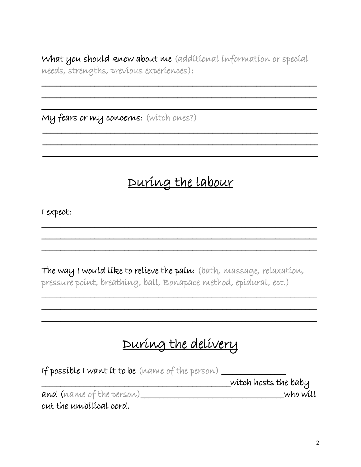What you should know about me (additional information or special needs, strengths, previous experiences):

My fears or my concerns: (witch ones?)

## During the Labour

I expect:

The way I would like to relieve the pain: (bath, massage, relaxation, pressure point, breathing, ball, Bonapace method, epidural, ect.)

## During the delivery

| If possible I want it to be (name of the person) |                      |
|--------------------------------------------------|----------------------|
|                                                  | wítch hosts the baby |
| and (name of the person)                         | who will             |

cut the unibilical cord.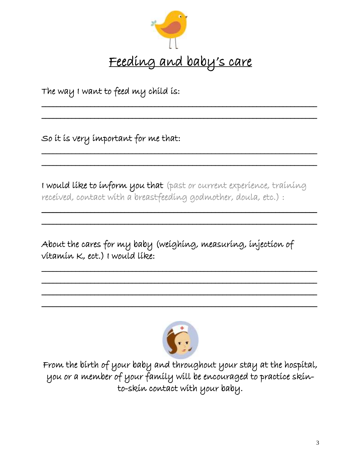

\_\_\_\_\_\_\_\_\_\_\_\_\_\_\_\_\_\_\_\_\_\_\_\_\_\_\_\_\_\_\_\_\_\_\_\_\_\_\_\_\_\_\_\_\_\_\_\_\_\_\_\_\_\_\_\_\_\_\_\_\_\_\_\_\_\_\_\_\_\_\_\_\_

\_\_\_\_\_\_\_\_\_\_\_\_\_\_\_\_\_\_\_\_\_\_\_\_\_\_\_\_\_\_\_\_\_\_\_\_\_\_\_\_\_\_\_\_\_\_\_\_\_\_\_\_\_\_\_\_\_\_\_\_\_\_\_\_\_\_\_\_\_\_\_\_\_

\_\_\_\_\_\_\_\_\_\_\_\_\_\_\_\_\_\_\_\_\_\_\_\_\_\_\_\_\_\_\_\_\_\_\_\_\_\_\_\_\_\_\_\_\_\_\_\_\_\_\_\_\_\_\_\_\_\_\_\_\_\_\_\_\_\_\_\_\_\_\_\_\_

 $\overline{\phantom{a}}$  , and the contract of the contract of the contract of the contract of the contract of the contract of the contract of the contract of the contract of the contract of the contract of the contract of the contrac

The way I want to feed my child is:

So it is very important for me that:

I would like to inform you that (past or current experience, training received, contact with a breastfeeding godmother, doula, etc.) :

 $\overline{\phantom{a}}$ 

 $\overline{\phantom{a}}$  , and the contract of the contract of the contract of the contract of the contract of the contract of the contract of the contract of the contract of the contract of the contract of the contract of the contrac

\_\_\_\_\_\_\_\_\_\_\_\_\_\_\_\_\_\_\_\_\_\_\_\_\_\_\_\_\_\_\_\_\_\_\_\_\_\_\_\_\_\_\_\_\_\_\_\_\_\_\_\_\_\_\_\_\_\_\_\_\_\_\_\_\_\_\_\_\_\_\_\_\_ \_\_\_\_\_\_\_\_\_\_\_\_\_\_\_\_\_\_\_\_\_\_\_\_\_\_\_\_\_\_\_\_\_\_\_\_\_\_\_\_\_\_\_\_\_\_\_\_\_\_\_\_\_\_\_\_\_\_\_\_\_\_\_\_\_\_\_\_\_\_\_\_\_ \_\_\_\_\_\_\_\_\_\_\_\_\_\_\_\_\_\_\_\_\_\_\_\_\_\_\_\_\_\_\_\_\_\_\_\_\_\_\_\_\_\_\_\_\_\_\_\_\_\_\_\_\_\_\_\_\_\_\_\_\_\_\_\_\_\_\_\_\_\_\_\_\_

About the cares for my baby (weighing, measuring, injection of vitamin K, ect.) I would like:



\_\_\_\_\_\_\_\_\_\_\_\_\_\_\_\_\_\_\_\_\_\_\_\_\_\_\_\_\_\_\_\_\_\_\_\_\_\_\_\_\_\_\_\_\_\_\_\_\_\_\_\_\_\_\_\_\_\_\_\_\_\_\_\_\_\_\_\_\_\_\_\_\_

l. From the birth of your baby and throughout your stay at the hospital, you or a member of your family will be encouraged to practice skinto-skin contact with your baby.